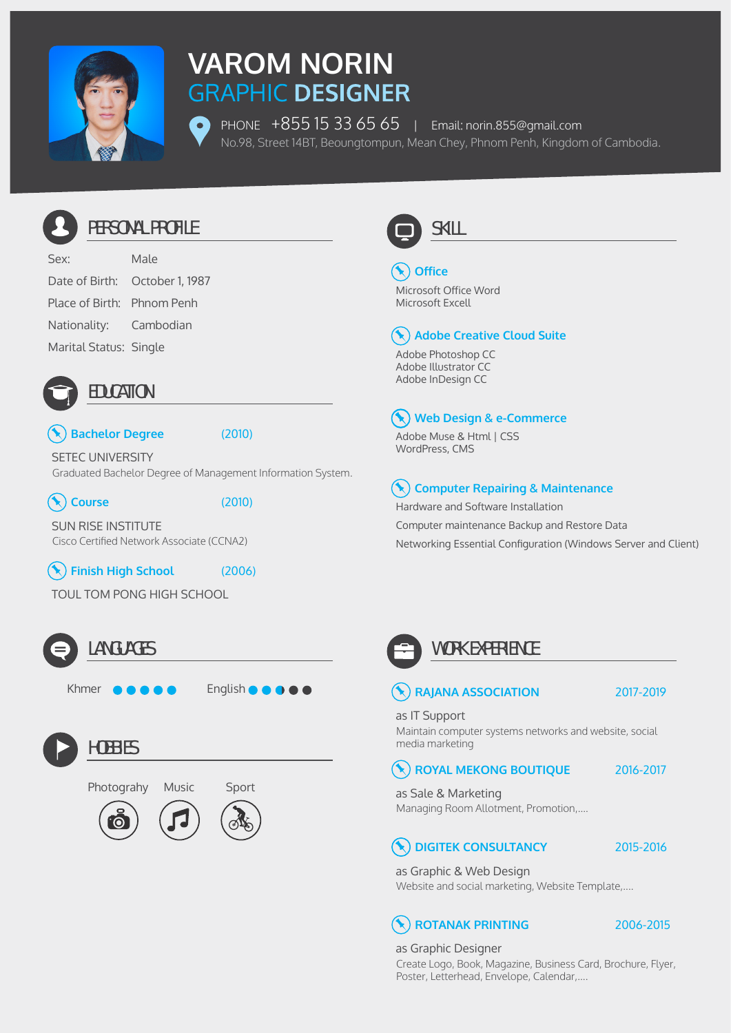

# **VAROM NORIN**

PHONE +855 15 33 65 65 | Email: norin.855@gmail.com No.98, Street 14BT, Beoungtompun, Mean Chey, Phnom Penh, Kingdom of Cambodia.



### PERSONAL PROFILE

Sex: Male Date of Birth: October 1, 1987 Place of Birth: Phnom Penh Nationality: Cambodian Marital Status: Single



### EDUCATION

#### **Bachelor Degree** (2010)

Graduated Bachelor Degree of Management Information System. SETEC UNIVERSITY



**Course** (2010)

Cisco Certified Network Associate (CCNA2) SUN RISE INSTITUTE

 $(\blacklozenge)$ 

**Finish High School** (2006)

TOUL TOM PONG HIGH SCHOOL



### LANGUAGES

Khmer  $\bullet\bullet\bullet\bullet\bullet$  English  $\bullet\bullet\bullet\bullet\bullet$ 



**HOBBIES** 







## **Office**

Microsoft Office Word Microsoft Excell

### **Adobe Creative Cloud Suite**

Adobe Photoshop CC Adobe Illustrator CC Adobe InDesign CC

#### **Web Design & e-Commerce**  $\blacktriangleright$  )

Adobe Muse & Html | CSS WordPress, CMS

#### **Computer Repairing & Maintenance**

Hardware and Software Installation Computer maintenance Backup and Restore Data Networking Essential Configuration (Windows Server and Client)



 $\left( \bigstar \right)$ 

### WORK EXPERIENCE

### **RAJANA ASSOCIATION** 2017-2019

as IT Support

Maintain computer systems networks and website, social media marketing

#### **ROYAL MEKONG BOUTIQUE** 2016-2017

Managing Room Allotment, Promotion,.... as Sale & Marketing

### **DIGITEK CONSULTANCY**

2015-2016

as Graphic & Web Design Website and social marketing, Website Template,....

### **ROTANAK PRINTING** 2006-2015

Create Logo, Book, Magazine, Business Card, Brochure, Flyer, Poster, Letterhead, Envelope, Calendar,.... as Graphic Designer